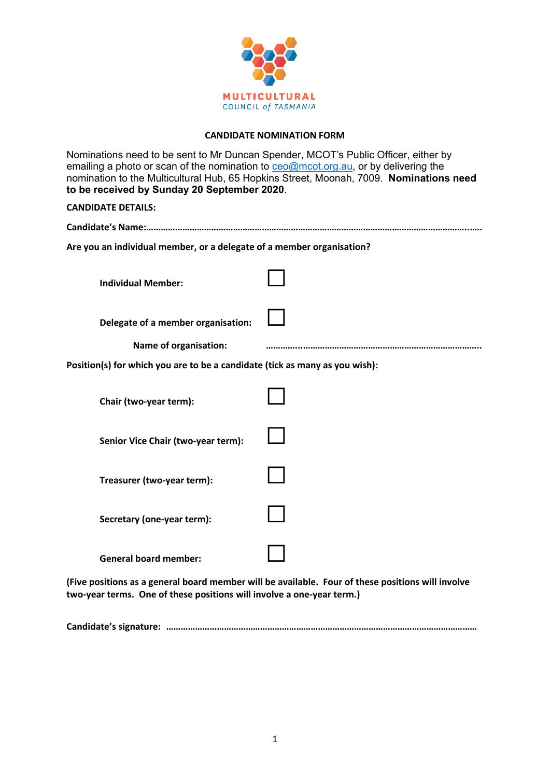

## **CANDIDATE NOMINATION FORM**

| Nominations need to be sent to Mr Duncan Spender, MCOT's Public Officer, either by<br>emailing a photo or scan of the nomination to ceo@mcot.org.au, or by delivering the<br>nomination to the Multicultural Hub, 65 Hopkins Street, Moonah, 7009. Nominations need<br>to be received by Sunday 20 September 2020. |  |
|--------------------------------------------------------------------------------------------------------------------------------------------------------------------------------------------------------------------------------------------------------------------------------------------------------------------|--|
| <b>CANDIDATE DETAILS:</b>                                                                                                                                                                                                                                                                                          |  |
|                                                                                                                                                                                                                                                                                                                    |  |
| Are you an individual member, or a delegate of a member organisation?                                                                                                                                                                                                                                              |  |
| <b>Individual Member:</b>                                                                                                                                                                                                                                                                                          |  |
| Delegate of a member organisation:                                                                                                                                                                                                                                                                                 |  |
| <b>Name of organisation:</b>                                                                                                                                                                                                                                                                                       |  |
| Position(s) for which you are to be a candidate (tick as many as you wish):                                                                                                                                                                                                                                        |  |
| Chair (two-year term):                                                                                                                                                                                                                                                                                             |  |
| Senior Vice Chair (two-year term):                                                                                                                                                                                                                                                                                 |  |
| Treasurer (two-year term):                                                                                                                                                                                                                                                                                         |  |
| Secretary (one-year term):                                                                                                                                                                                                                                                                                         |  |
| <b>General board member:</b>                                                                                                                                                                                                                                                                                       |  |

**(Five positions as a general board member will be available. Four of these positions will involve two-year terms. One of these positions will involve a one-year term.)**

**Candidate's signature: …………………………………………………………………………………………………………………**